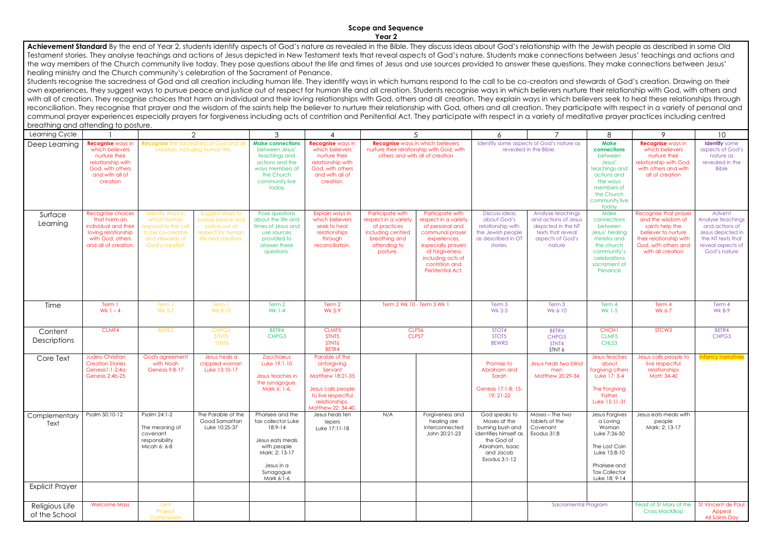## **Scope and Sequence Year 2**

Achievement Standard By the end of Year 2, students identify aspects of God's nature as revealed in the Bible. They discuss ideas about God's relationship with the Jewish people as described in some Old Testament stories. They analyse teachings and actions of Jesus depicted in New Testament texts that reveal aspects of God's nature. Students make connections between Jesus' teachings and actions and the way members of the Church community live today. They pose questions about the life and times of Jesus and use sources provided to answer these questions. They make connections between Jesus' healing ministry and the Church community's celebration of the Sacrament of Penance.

Students recognise the sacredness of God and all creation including human life. They identify ways in which humans respond to the call to be co-creators and stewards of God's creation. Drawing on their own experiences, they suggest ways to pursue peace and justice out of respect for human life and all creation. Students recognise ways in which believers nurture their relationship with God, with others and with all of creation. They recognise choices that harm an individual and their loving relationships with God, others and all creation. They explain ways in which believers seek to heal these relationships through reconciliation. They recognise that prayer and the wisdom of the saints help the believer to nurture their relationship with God, others and all creation. They participate with respect in a variety of personal and communal prayer experiences especially prayers for forgiveness including acts of contrition and Penitential Act. They participate with respect in a variety of meditative prayer practices including centred breathing and attending to posture.

| blearing and arienality to positie.                                           |                                                                                                                                      |                                                                                                                                |                                                                                                           |                                                                                                                                                                                                                                      |                                                                                                                                                                                                |                                                                                                                            |                                                                                                                                                                                                   |                                                                                                                                                                                                                    |                                                                                                                    |                                                                                                                                                                                                                                                         |                                                                                                                                                              |                                                                                                                              |
|-------------------------------------------------------------------------------|--------------------------------------------------------------------------------------------------------------------------------------|--------------------------------------------------------------------------------------------------------------------------------|-----------------------------------------------------------------------------------------------------------|--------------------------------------------------------------------------------------------------------------------------------------------------------------------------------------------------------------------------------------|------------------------------------------------------------------------------------------------------------------------------------------------------------------------------------------------|----------------------------------------------------------------------------------------------------------------------------|---------------------------------------------------------------------------------------------------------------------------------------------------------------------------------------------------|--------------------------------------------------------------------------------------------------------------------------------------------------------------------------------------------------------------------|--------------------------------------------------------------------------------------------------------------------|---------------------------------------------------------------------------------------------------------------------------------------------------------------------------------------------------------------------------------------------------------|--------------------------------------------------------------------------------------------------------------------------------------------------------------|------------------------------------------------------------------------------------------------------------------------------|
| Learning Cycle                                                                |                                                                                                                                      |                                                                                                                                | 2                                                                                                         | 3                                                                                                                                                                                                                                    |                                                                                                                                                                                                |                                                                                                                            | 5                                                                                                                                                                                                 | 6                                                                                                                                                                                                                  |                                                                                                                    | 8                                                                                                                                                                                                                                                       | 9                                                                                                                                                            | 10 <sup>°</sup>                                                                                                              |
| Deep Learning                                                                 | <b>Recognise</b> ways in<br>which believers<br>nurture their<br>relationship with<br>God, with others<br>and with all of<br>creation |                                                                                                                                | <b>Recognise</b> the sacredness of God and all<br>creation, including human life.                         | <b>Make connections</b><br>between Jesus'<br>teachings and<br>actions and the<br>ways members of<br>the Church<br>community live<br>today                                                                                            | Recognise ways in<br>which believers<br>nurture their<br>relationship with<br>God, with others<br>and with all of<br>creation.                                                                 |                                                                                                                            | <b>Recognise</b> ways in which believers<br>nurture their relationship with God, with<br>others and with all of creation                                                                          |                                                                                                                                                                                                                    | Identify some aspects of God's nature as<br>revealed in the Bible.                                                 | <b>Make</b><br>connections<br>between<br>Jesus'<br>teachings and<br>actions and<br>the ways<br>members of<br>the Church<br>community live<br>today                                                                                                      | <b>Recognise</b> ways in<br>which believers<br>nurture their<br>relationship with God,<br>with others and with<br>all of creation                            | <b>Identify</b> some<br>aspects of God's<br>nature as<br>revealed in the<br><b>Bible</b>                                     |
| Surface<br>Learning                                                           | Recognise choices<br>that harm an<br>individual and their<br>loving relationship<br>with God, others<br>and all of creation.         | Identify ways in<br>which human<br>respond to the call<br>to be co-creators<br>and stewards of<br>God's creation               | Suggest ways to<br>pursue peace and<br>justice out of<br>respect for human<br>life and creation.          | Pose questions<br>about the life and<br>times of Jesus and<br>use sources<br>provided to<br>answer these<br>questions.                                                                                                               | Explain ways in<br>which believers<br>seek to heal<br>relationships<br>through<br>reconciliation.                                                                                              | Participate with<br>respect in a variety<br>of practices<br>including centred<br>breathing and<br>attending to<br>posture. | Participate with<br>respect in a variety<br>of personal and<br>communal prayer<br>experiences,<br>especially prayers<br>of forgiveness<br>including acts of<br>contrition and<br>Penitential Act. | <b>Discuss ideas</b><br>about God's<br>relationship with<br>the Jewish people<br>as described in OT<br>stories.                                                                                                    | Analyse teachings<br>and actions of Jesus<br>depicted in the NT<br>texts that reveal<br>aspects of God's<br>nature | Make<br>connections<br>between<br>Jesus' healing<br>ministry and<br>the church<br>community's<br>celebrations<br>sacrament of<br>Penance                                                                                                                | Recognise that prayer<br>and the wisdom of<br>saints help the<br>believer to nurture<br>their relationship with<br>God, with others and<br>with all creation | Advent<br>Analyse teachings<br>and actions of<br>Jesus depicted in<br>the NT texts that<br>reveal aspects of<br>God's nature |
| Time                                                                          | Term 1<br>Wk $1 - 4$                                                                                                                 | Term 1<br>Wk 5-7                                                                                                               | Term 1<br>Wk 8-10                                                                                         | Term 2<br>Wk 1-4                                                                                                                                                                                                                     | Term 2<br>Wk 5-9                                                                                                                                                                               |                                                                                                                            | Term 2 Wk 10 - Term 3 Wk 1                                                                                                                                                                        | Term 3<br>Wk 2-5                                                                                                                                                                                                   | Term 3<br>Wk 6-10                                                                                                  | Term 4<br>Wk 1-5                                                                                                                                                                                                                                        | Term 4<br>Wk 6-7                                                                                                                                             | Term 4<br>Wk 8-9                                                                                                             |
| Content<br><b>Descriptions</b>                                                | CLMF4                                                                                                                                | BEHE2                                                                                                                          | CHPG3<br>STNT5<br>STNT6                                                                                   | BETR4<br>CHPG3                                                                                                                                                                                                                       | CLMF5<br>STNT5<br>STNT6<br>BETR4                                                                                                                                                               |                                                                                                                            | CLPS6<br>CLPS7                                                                                                                                                                                    | STOT4<br>STOT5<br>BEWR3                                                                                                                                                                                            | BETR4<br>CHPG3<br>STNT4<br>STNT 6                                                                                  | CHCH1<br>CLMF5<br>CHLS3                                                                                                                                                                                                                                 | STCW <sub>3</sub>                                                                                                                                            | BETR4<br>CHPG3                                                                                                               |
| Core Text<br>Complementary   Psalm 50:10-12<br>Text<br><b>Explicit Prayer</b> | Judeo-Christian<br><b>Creation Stories</b><br>Genesis1:1-2:4a;<br>Genesis 2:4b-25                                                    | God's agreement<br>with Noah<br>Genesis 9:8-17<br>Psalm 24:1-2<br>The meaning of<br>covenant<br>responsibility<br>Micah 6: 6-8 | Jesus heals a<br>crippled woman<br>Luke 13:10-17<br>The Parable of the<br>Good Samaritan<br>Luke 10:25-37 | Zacchaeus<br>Luke 19:1-10<br>Jesus teaches in<br>the synagogue.<br>Mark 6: 1-6.<br>Pharisee and the<br>tax collector Luke<br>$18:9-14$<br>Jesus eats meals<br>with people<br>Mark: 2: 13-17<br>Jesus in a<br>Synagogue<br>Mark 6:1-6 | Parable of the<br>Unforgiving<br>Servant<br>Matthew 18:21-35<br>Jesus calls people<br>to live respectful<br>relationships.<br>Matthew 22: 34-40.<br>Jesus heals ten<br>lepers<br>Luke 17:11-18 | N/A                                                                                                                        | Forgiveness and<br>healing are<br>interconnected<br>John 20:21-23                                                                                                                                 | Promise to<br>Abraham and<br>Sarah<br>Genesis 17:1-8; 15-<br>19; 21-22<br>God speaks to<br>Moses at the<br>burning bush and<br>identifies himself as<br>the God of<br>Abraham, Isaac<br>and Jacob<br>Exodus 3:1-12 | Jesus heals two blind<br>men<br>Matthew 20:29-34<br>Moses – The two<br>tablets of the<br>Covenant<br>Exodus 31:8   | Jesus teaches<br>about<br>forgiving others<br>Luke 17: 3-4<br>The Forgiving<br>Father<br>Luke 15:11-31<br>Jesus Forgives<br>a Loving<br>Woman<br>Luke 7:36-50<br>The Lost Coin<br>Luke 15:8-10<br>Pharisee and<br><b>Tax Collector</b><br>Luke 18: 9-14 | Jesus calls people to<br>live respectful<br>relationships<br>Matt: 34-40<br>Jesus eats meals with<br>people<br>Mark: 2: 13-17                                | <b>Infancy narratives</b>                                                                                                    |
| Religious Life<br>of the School                                               | <b>Welcome Mass</b>                                                                                                                  | Lent<br>Project<br>Compassion                                                                                                  |                                                                                                           |                                                                                                                                                                                                                                      |                                                                                                                                                                                                |                                                                                                                            |                                                                                                                                                                                                   |                                                                                                                                                                                                                    | Sacramental Program                                                                                                |                                                                                                                                                                                                                                                         | Feast of St Mary of the<br><b>Cross MacKillop</b>                                                                                                            | St Vincent de Paul<br>Appeal<br><b>All Saints Day</b>                                                                        |